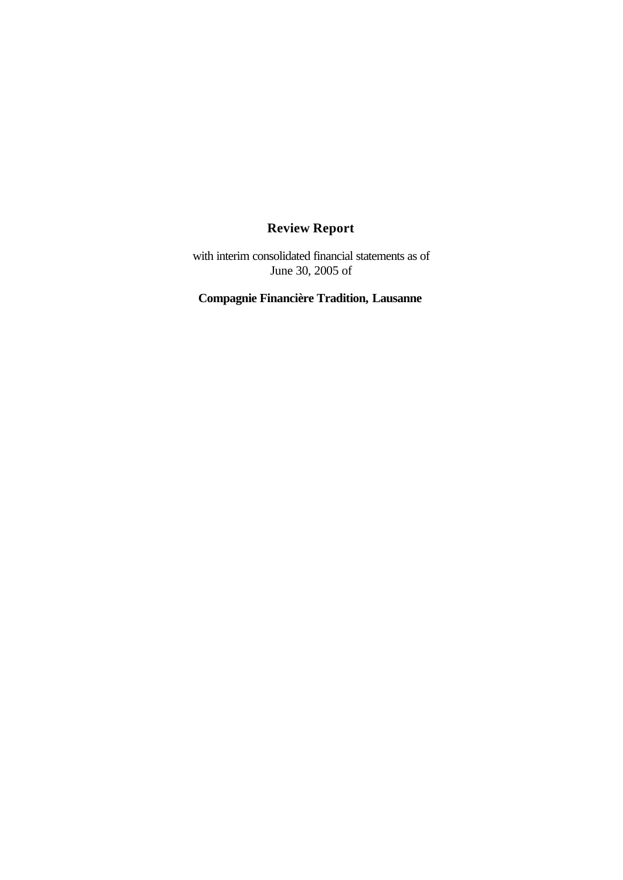# **Review Report**

with interim consolidated financial statements as of June 30, 2005 of

**Compagnie Financière Tradition, Lausanne**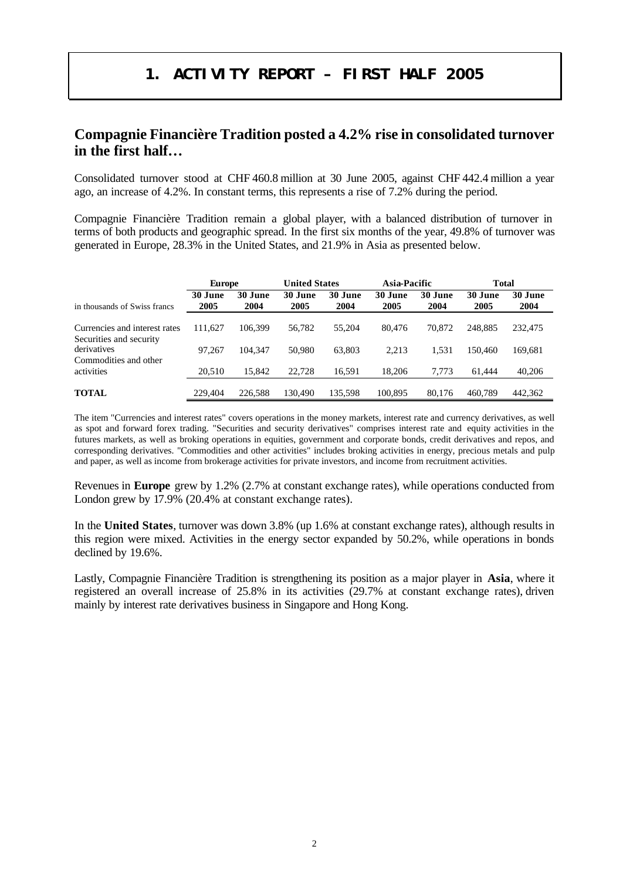# **1. ACTIVITY REPORT – FIRST HALF 2005**

# **Compagnie Financière Tradition posted a 4.2% rise in consolidated turnover in the first half…**

Consolidated turnover stood at CHF 460.8 million at 30 June 2005, against CHF 442.4 million a year ago, an increase of 4.2%. In constant terms, this represents a rise of 7.2% during the period.

Compagnie Financière Tradition remain a global player, with a balanced distribution of turnover in terms of both products and geographic spread. In the first six months of the year, 49.8% of turnover was generated in Europe, 28.3% in the United States, and 21.9% in Asia as presented below.

|                                                          | <b>Europe</b>   |                 | <b>United States</b> |                 | <b>Asia-Pacific</b> |                 | <b>Total</b>    |                 |
|----------------------------------------------------------|-----------------|-----------------|----------------------|-----------------|---------------------|-----------------|-----------------|-----------------|
| in thousands of Swiss francs                             | 30 June<br>2005 | 30 June<br>2004 | 30 June<br>2005      | 30 June<br>2004 | 30 June<br>2005     | 30 June<br>2004 | 30 June<br>2005 | 30 June<br>2004 |
| Currencies and interest rates<br>Securities and security | 111.627         | 106.399         | 56,782               | 55,204          | 80.476              | 70,872          | 248.885         | 232,475         |
| derivatives<br>Commodities and other                     | 97.267          | 104.347         | 50,980               | 63.803          | 2.213               | 1.531           | 150.460         | 169.681         |
| activities                                               | 20.510          | 15.842          | 22,728               | 16,591          | 18.206              | 7.773           | 61.444          | 40,206          |
| <b>TOTAL</b>                                             | 229.404         | 226,588         | 130.490              | 135.598         | 100.895             | 80.176          | 460.789         | 442.362         |

The item "Currencies and interest rates" covers operations in the money markets, interest rate and currency derivatives, as well as spot and forward forex trading. "Securities and security derivatives" comprises interest rate and equity activities in the futures markets, as well as broking operations in equities, government and corporate bonds, credit derivatives and repos, and corresponding derivatives. "Commodities and other activities" includes broking activities in energy, precious metals and pulp and paper, as well as income from brokerage activities for private investors, and income from recruitment activities.

Revenues in **Europe** grew by 1.2% (2.7% at constant exchange rates), while operations conducted from London grew by 17.9% (20.4% at constant exchange rates).

In the **United States**, turnover was down 3.8% (up 1.6% at constant exchange rates), although results in this region were mixed. Activities in the energy sector expanded by 50.2%, while operations in bonds declined by 19.6%.

Lastly, Compagnie Financière Tradition is strengthening its position as a major player in **Asia**, where it registered an overall increase of 25.8% in its activities (29.7% at constant exchange rates), driven mainly by interest rate derivatives business in Singapore and Hong Kong.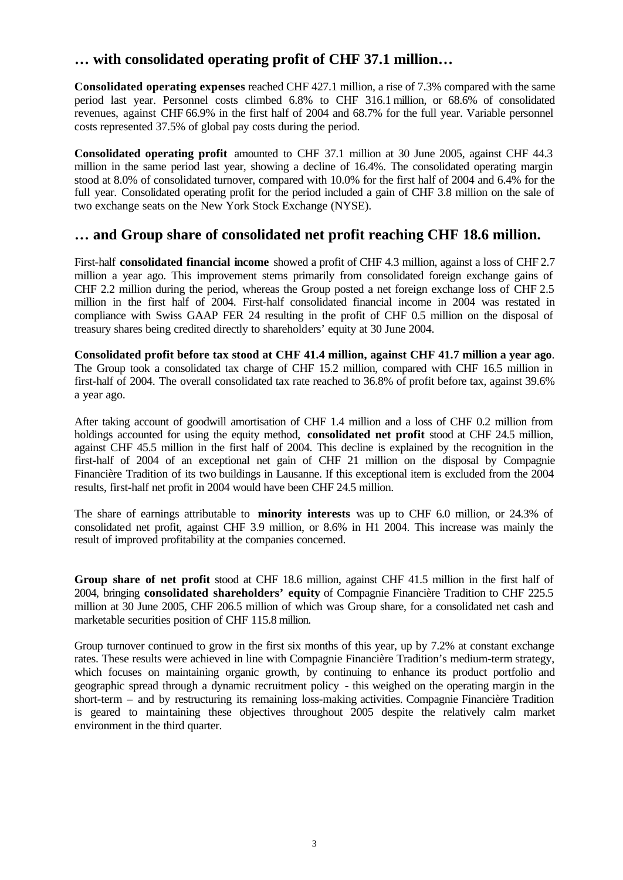# **… with consolidated operating profit of CHF 37.1 million…**

**Consolidated operating expenses** reached CHF 427.1 million, a rise of 7.3% compared with the same period last year. Personnel costs climbed 6.8% to CHF 316.1 million, or 68.6% of consolidated revenues, against CHF 66.9% in the first half of 2004 and 68.7% for the full year. Variable personnel costs represented 37.5% of global pay costs during the period.

**Consolidated operating profit** amounted to CHF 37.1 million at 30 June 2005, against CHF 44.3 million in the same period last year, showing a decline of 16.4%. The consolidated operating margin stood at 8.0% of consolidated turnover, compared with 10.0% for the first half of 2004 and 6.4% for the full year. Consolidated operating profit for the period included a gain of CHF 3.8 million on the sale of two exchange seats on the New York Stock Exchange (NYSE).

# **… and Group share of consolidated net profit reaching CHF 18.6 million.**

First-half **consolidated financial income** showed a profit of CHF 4.3 million, against a loss of CHF 2.7 million a year ago. This improvement stems primarily from consolidated foreign exchange gains of CHF 2.2 million during the period, whereas the Group posted a net foreign exchange loss of CHF 2.5 million in the first half of 2004. First-half consolidated financial income in 2004 was restated in compliance with Swiss GAAP FER 24 resulting in the profit of CHF 0.5 million on the disposal of treasury shares being credited directly to shareholders' equity at 30 June 2004.

**Consolidated profit before tax stood at CHF 41.4 million, against CHF 41.7 million a year ago**. The Group took a consolidated tax charge of CHF 15.2 million, compared with CHF 16.5 million in first-half of 2004. The overall consolidated tax rate reached to 36.8% of profit before tax, against 39.6% a year ago.

After taking account of goodwill amortisation of CHF 1.4 million and a loss of CHF 0.2 million from holdings accounted for using the equity method, **consolidated net profit** stood at CHF 24.5 million, against CHF 45.5 million in the first half of 2004. This decline is explained by the recognition in the first-half of 2004 of an exceptional net gain of CHF 21 million on the disposal by Compagnie Financière Tradition of its two buildings in Lausanne. If this exceptional item is excluded from the 2004 results, first-half net profit in 2004 would have been CHF 24.5 million.

The share of earnings attributable to **minority interests** was up to CHF 6.0 million, or 24.3% of consolidated net profit, against CHF 3.9 million, or 8.6% in H1 2004. This increase was mainly the result of improved profitability at the companies concerned.

**Group share of net profit** stood at CHF 18.6 million, against CHF 41.5 million in the first half of 2004, bringing **consolidated shareholders' equity** of Compagnie Financière Tradition to CHF 225.5 million at 30 June 2005, CHF 206.5 million of which was Group share, for a consolidated net cash and marketable securities position of CHF 115.8 million.

Group turnover continued to grow in the first six months of this year, up by 7.2% at constant exchange rates. These results were achieved in line with Compagnie Financière Tradition's medium-term strategy, which focuses on maintaining organic growth, by continuing to enhance its product portfolio and geographic spread through a dynamic recruitment policy - this weighed on the operating margin in the short-term – and by restructuring its remaining loss-making activities. Compagnie Financière Tradition is geared to maintaining these objectives throughout 2005 despite the relatively calm market environment in the third quarter.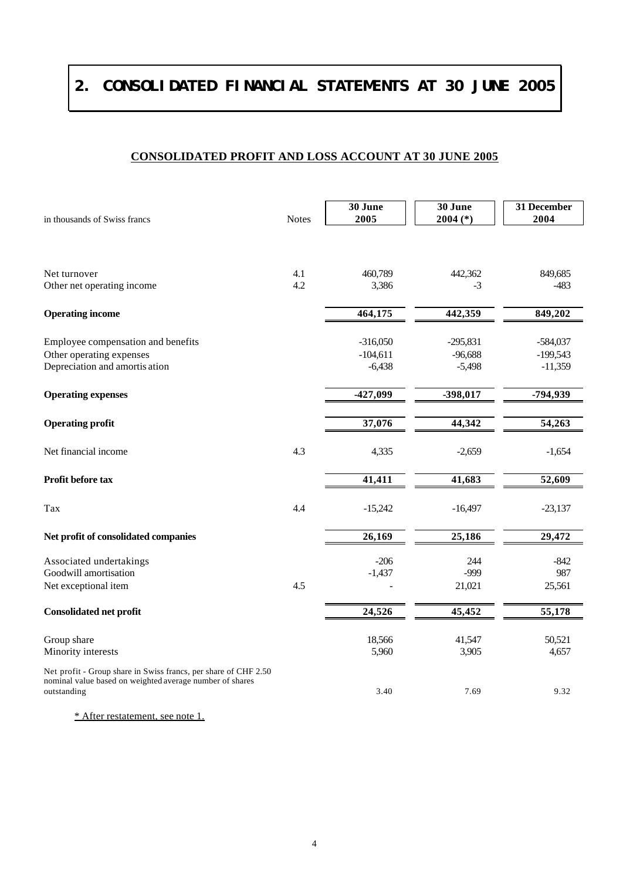# **2. CONSOLIDATED FINANCIAL STATEMENTS AT 30 JUNE 2005**

# **CONSOLIDATED PROFIT AND LOSS ACCOUNT AT 30 JUNE 2005**

| in thousands of Swiss francs                                                                                                               | <b>Notes</b> | 30 June<br>2005                      | 30 June<br>$2004$ (*)               | 31 December<br>2004                   |
|--------------------------------------------------------------------------------------------------------------------------------------------|--------------|--------------------------------------|-------------------------------------|---------------------------------------|
|                                                                                                                                            |              |                                      |                                     |                                       |
| Net turnover<br>Other net operating income                                                                                                 | 4.1<br>4.2   | 460,789<br>3,386                     | 442,362<br>$-3$                     | 849,685<br>$-483$                     |
|                                                                                                                                            |              |                                      |                                     |                                       |
| <b>Operating income</b>                                                                                                                    |              | 464,175                              | 442,359                             | 849,202                               |
| Employee compensation and benefits<br>Other operating expenses<br>Depreciation and amortis ation                                           |              | $-316,050$<br>$-104,611$<br>$-6,438$ | $-295,831$<br>$-96,688$<br>$-5,498$ | $-584,037$<br>$-199,543$<br>$-11,359$ |
| <b>Operating expenses</b>                                                                                                                  |              | -427,099                             | -398,017                            | -794,939                              |
| <b>Operating profit</b>                                                                                                                    |              | 37,076                               | 44,342                              | $\overline{5}4,263$                   |
| Net financial income                                                                                                                       | 4.3          | 4,335                                | $-2,659$                            | $-1,654$                              |
| Profit before tax                                                                                                                          |              | 41,411                               | 41,683                              | 52,609                                |
| Tax                                                                                                                                        | 4.4          | $-15,242$                            | $-16,497$                           | $-23,137$                             |
| Net profit of consolidated companies                                                                                                       |              | 26,169                               | 25,186                              | 29,472                                |
| Associated undertakings<br>Goodwill amortisation<br>Net exceptional item                                                                   | 4.5          | $-206$<br>$-1,437$                   | 244<br>-999<br>21,021               | -842<br>987<br>25,561                 |
| <b>Consolidated net profit</b>                                                                                                             |              | 24,526                               | 45,452                              | 55,178                                |
| Group share<br>Minority interests                                                                                                          |              | 18,566<br>5,960                      | 41,547<br>3,905                     | 50,521<br>4,657                       |
| Net profit - Group share in Swiss francs, per share of CHF 2.50<br>nominal value based on weighted average number of shares<br>outstanding |              | 3.40                                 | 7.69                                | 9.32                                  |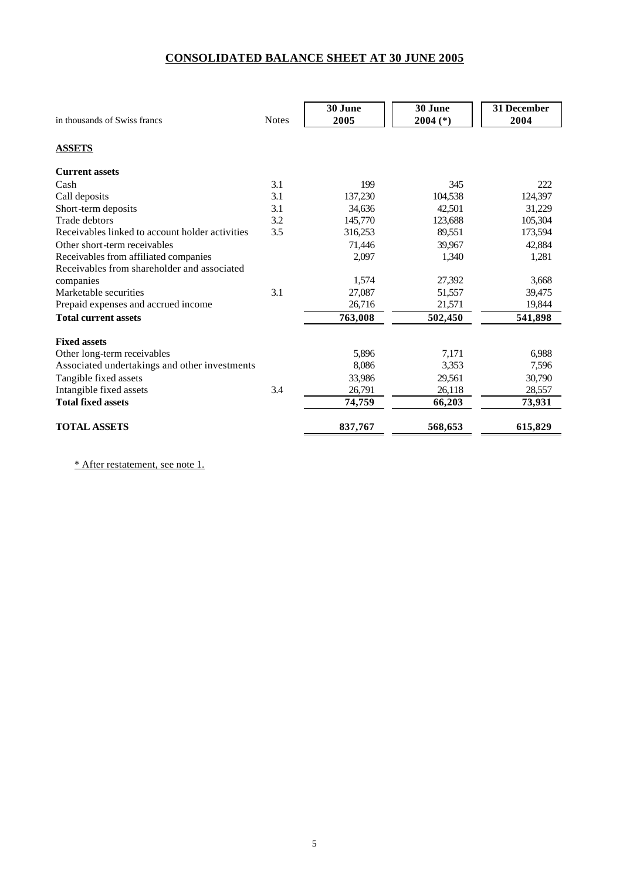### **CONSOLIDATED BALANCE SHEET AT 30 JUNE 2005**

| in thousands of Swiss francs                    | <b>Notes</b> | 30 June<br>2005 | 30 June<br>$2004$ (*) | 31 December<br>2004 |
|-------------------------------------------------|--------------|-----------------|-----------------------|---------------------|
| <b>ASSETS</b>                                   |              |                 |                       |                     |
| <b>Current assets</b>                           |              |                 |                       |                     |
| Cash                                            | 3.1          | 199             | 345                   | 222                 |
| Call deposits                                   | 3.1          | 137,230         | 104,538               | 124,397             |
| Short-term deposits                             | 3.1          | 34,636          | 42,501                | 31,229              |
| <b>Trade debtors</b>                            | 3.2          | 145,770         | 123,688               | 105,304             |
| Receivables linked to account holder activities | 3.5          | 316,253         | 89,551                | 173,594             |
| Other short-term receivables                    |              | 71,446          | 39,967                | 42,884              |
| Receivables from affiliated companies           |              | 2,097           | 1,340                 | 1,281               |
| Receivables from shareholder and associated     |              |                 |                       |                     |
| companies                                       |              | 1,574           | 27,392                | 3,668               |
| Marketable securities                           | 3.1          | 27,087          | 51.557                | 39,475              |
| Prepaid expenses and accrued income             |              | 26,716          | 21,571                | 19,844              |
| <b>Total current assets</b>                     |              | 763,008         | 502,450               | 541,898             |
| <b>Fixed assets</b>                             |              |                 |                       |                     |
| Other long-term receivables                     |              | 5,896           | 7,171                 | 6,988               |
| Associated undertakings and other investments   |              | 8,086           | 3,353                 | 7,596               |
| Tangible fixed assets                           |              | 33.986          | 29,561                | 30,790              |
| Intangible fixed assets                         | 3.4          | 26,791          | 26,118                | 28,557              |
| <b>Total fixed assets</b>                       |              | 74,759          | 66,203                | 73,931              |
| <b>TOTAL ASSETS</b>                             |              | 837,767         | 568,653               | 615,829             |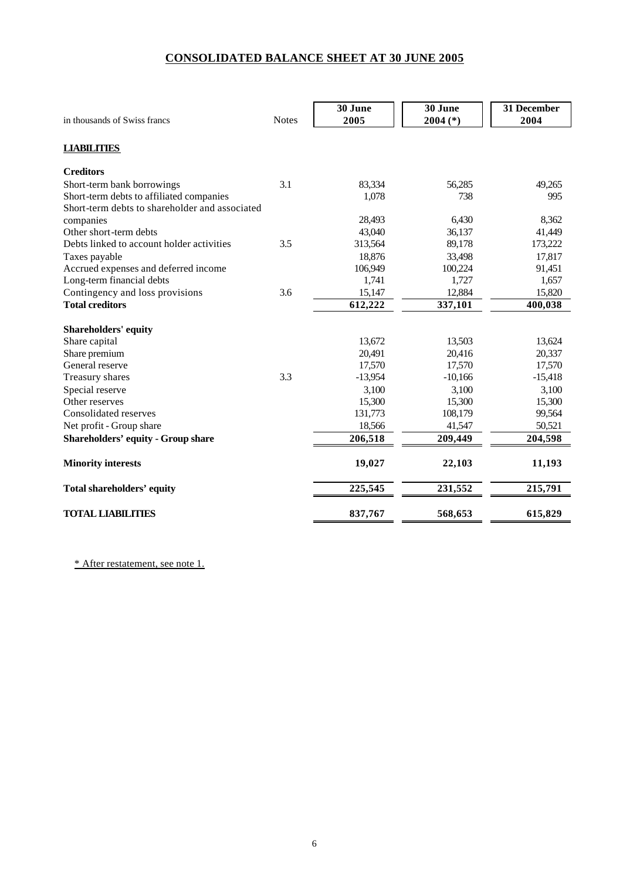## **CONSOLIDATED BALANCE SHEET AT 30 JUNE 2005**

|                                                |              | 30 June   | 30 June    | 31 December |
|------------------------------------------------|--------------|-----------|------------|-------------|
| in thousands of Swiss francs                   | <b>Notes</b> | 2005      | $2004$ (*) | 2004        |
| <b>LIABILITIES</b>                             |              |           |            |             |
| <b>Creditors</b>                               |              |           |            |             |
| Short-term bank borrowings                     | 3.1          | 83,334    | 56,285     | 49,265      |
| Short-term debts to affiliated companies       |              | 1,078     | 738        | 995         |
| Short-term debts to shareholder and associated |              |           |            |             |
| companies                                      |              | 28,493    | 6,430      | 8,362       |
| Other short-term debts                         |              | 43,040    | 36,137     | 41,449      |
| Debts linked to account holder activities      | 3.5          | 313,564   | 89,178     | 173,222     |
| Taxes payable                                  |              | 18,876    | 33,498     | 17,817      |
| Accrued expenses and deferred income           |              | 106,949   | 100,224    | 91,451      |
| Long-term financial debts                      |              | 1,741     | 1,727      | 1,657       |
| Contingency and loss provisions                | 3.6          | 15,147    | 12,884     | 15,820      |
| <b>Total creditors</b>                         |              | 612,222   | 337,101    | 400,038     |
| Shareholders' equity                           |              |           |            |             |
| Share capital                                  |              | 13,672    | 13,503     | 13,624      |
| Share premium                                  |              | 20,491    | 20,416     | 20,337      |
| General reserve                                |              | 17,570    | 17,570     | 17,570      |
| Treasury shares                                | 3.3          | $-13,954$ | $-10,166$  | $-15,418$   |
| Special reserve                                |              | 3,100     | 3,100      | 3,100       |
| Other reserves                                 |              | 15,300    | 15,300     | 15,300      |
| Consolidated reserves                          |              | 131,773   | 108,179    | 99,564      |
| Net profit - Group share                       |              | 18,566    | 41,547     | 50,521      |
| <b>Shareholders' equity - Group share</b>      |              | 206,518   | 209,449    | 204,598     |
| <b>Minority interests</b>                      |              | 19,027    | 22,103     | 11,193      |
| <b>Total shareholders' equity</b>              |              | 225,545   | 231,552    | 215,791     |
| <b>TOTAL LIABILITIES</b>                       |              | 837,767   | 568,653    | 615,829     |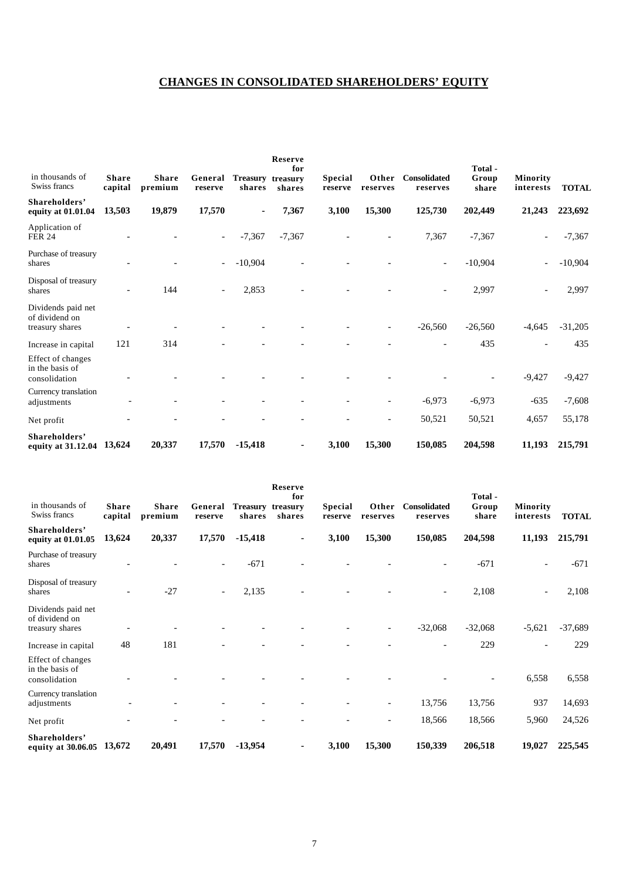# **CHANGES IN CONSOLIDATED SHAREHOLDERS' EQUITY**

| in thousands of<br>Swiss francs                         | <b>Share</b><br>capital  | <b>Share</b><br>premium | General<br>reserve       | Treasury treasury<br>shares | <b>Reserve</b><br>for<br>shares | <b>Special</b><br>reserve | Other<br>reserves | <b>Consolidated</b><br>reserves | Total -<br>Group<br>share | Minority<br>interests | <b>TOTAL</b> |
|---------------------------------------------------------|--------------------------|-------------------------|--------------------------|-----------------------------|---------------------------------|---------------------------|-------------------|---------------------------------|---------------------------|-----------------------|--------------|
| Shareholders'<br>equity at 01.01.04                     | 13,503                   | 19,879                  | 17,570                   |                             | 7,367                           | 3,100                     | 15,300            | 125,730                         | 202,449                   | 21,243                | 223,692      |
| Application of<br><b>FER 24</b>                         |                          |                         | $\overline{\phantom{a}}$ | $-7,367$                    | $-7,367$                        |                           |                   | 7,367                           | $-7,367$                  |                       | $-7,367$     |
| Purchase of treasury<br>shares                          |                          |                         |                          | $-10,904$                   |                                 |                           |                   | $\overline{\phantom{a}}$        | $-10,904$                 |                       | $-10,904$    |
| Disposal of treasury<br>shares                          | $\overline{\phantom{a}}$ | 144                     | $\overline{\phantom{a}}$ | 2,853                       |                                 |                           |                   | $\overline{\phantom{a}}$        | 2,997                     |                       | 2,997        |
| Dividends paid net<br>of dividend on<br>treasury shares |                          |                         |                          |                             |                                 |                           |                   | $-26,560$                       | $-26,560$                 | $-4,645$              | $-31,205$    |
| Increase in capital                                     | 121                      | 314                     |                          |                             |                                 |                           |                   |                                 | 435                       |                       | 435          |
| Effect of changes<br>in the basis of<br>consolidation   |                          |                         |                          |                             |                                 |                           |                   |                                 |                           | $-9,427$              | $-9,427$     |
| Currency translation<br>adjustments                     |                          |                         |                          |                             |                                 |                           |                   | $-6,973$                        | $-6,973$                  | $-635$                | $-7,608$     |
| Net profit                                              |                          |                         |                          |                             |                                 |                           |                   | 50,521                          | 50,521                    | 4,657                 | 55,178       |
| Shareholders'<br>equity at 31.12.04 13,624              |                          | 20,337                  | 17,570                   | $-15,418$                   | ٠                               | 3,100                     | 15,300            | 150,085                         | 204,598                   | 11,193                | 215,791      |

| in thousands of<br>Swiss francs                         | <b>Share</b><br>capital | <b>Share</b><br>premium | General<br>reserve       | Treasury treasury<br>shares | Reserve<br>for<br>shares | <b>Special</b><br>reserve | Other<br>reserves | Consolidated<br>reserves | Total-<br>Group<br>share | Minority<br>interests    | <b>TOTAL</b> |
|---------------------------------------------------------|-------------------------|-------------------------|--------------------------|-----------------------------|--------------------------|---------------------------|-------------------|--------------------------|--------------------------|--------------------------|--------------|
| Shareholders'<br>equity at 01.01.05                     | 13,624                  | 20,337                  | 17,570                   | $-15,418$                   | ٠                        | 3,100                     | 15,300            | 150,085                  | 204,598                  | 11,193                   | 215,791      |
| Purchase of treasury<br>shares                          |                         |                         | $\overline{\phantom{0}}$ | $-671$                      |                          |                           |                   |                          | $-671$                   | $\overline{\phantom{0}}$ | $-671$       |
| Disposal of treasury<br>shares                          |                         | $-27$                   | $\overline{\phantom{a}}$ | 2,135                       |                          |                           |                   |                          | 2,108                    |                          | 2,108        |
| Dividends paid net<br>of dividend on<br>treasury shares |                         |                         |                          |                             |                          |                           |                   | $-32,068$                | $-32,068$                | $-5,621$                 | $-37,689$    |
| Increase in capital                                     | 48                      | 181                     |                          |                             |                          |                           |                   |                          | 229                      |                          | 229          |
| Effect of changes<br>in the basis of<br>consolidation   |                         |                         |                          |                             |                          |                           |                   |                          |                          | 6,558                    | 6,558        |
| Currency translation<br>adjustments                     |                         |                         |                          |                             |                          |                           |                   | 13,756                   | 13,756                   | 937                      | 14,693       |
| Net profit                                              |                         |                         |                          |                             |                          |                           |                   | 18,566                   | 18,566                   | 5,960                    | 24,526       |
| Shareholders'<br>equity at 30.06.05                     | 13,672                  | 20,491                  | 17,570                   | $-13,954$                   | $\blacksquare$           | 3,100                     | 15,300            | 150,339                  | 206,518                  | 19,027                   | 225,545      |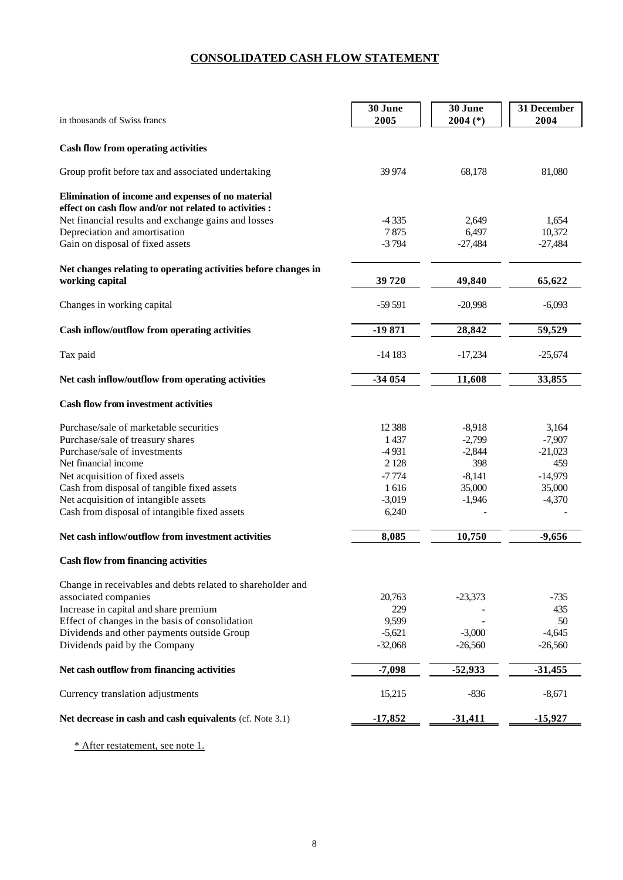## **CONSOLIDATED CASH FLOW STATEMENT**

| in thousands of Swiss francs                                                                                | 30 June<br>2005 | 30 June<br>$2004$ (*) | 31 December<br>2004 |
|-------------------------------------------------------------------------------------------------------------|-----------------|-----------------------|---------------------|
| <b>Cash flow from operating activities</b>                                                                  |                 |                       |                     |
| Group profit before tax and associated undertaking                                                          | 39 974          | 68,178                | 81,080              |
| Elimination of income and expenses of no material<br>effect on cash flow and/or not related to activities : |                 |                       |                     |
| Net financial results and exchange gains and losses                                                         | $-4335$         | 2,649                 | 1,654               |
| Depreciation and amortisation                                                                               | 7875            | 6,497                 | 10,372              |
| Gain on disposal of fixed assets                                                                            | $-3794$         | $-27,484$             | $-27,484$           |
| Net changes relating to operating activities before changes in                                              |                 |                       |                     |
| working capital                                                                                             | 39720           | 49,840                | 65,622              |
| Changes in working capital                                                                                  | $-59591$        | $-20,998$             | $-6,093$            |
| Cash inflow/outflow from operating activities                                                               | $-19871$        | 28,842                | 59,529              |
| Tax paid                                                                                                    | $-14183$        | $-17,234$             | $-25,674$           |
| Net cash inflow/outflow from operating activities                                                           | -34 054         | 11,608                | 33,855              |
| <b>Cash flow from investment activities</b>                                                                 |                 |                       |                     |
| Purchase/sale of marketable securities                                                                      | 12 3 88         | $-8,918$              | 3,164               |
| Purchase/sale of treasury shares                                                                            | 1437            | $-2,799$              | $-7,907$            |
| Purchase/sale of investments                                                                                | $-4931$         | $-2,844$              | $-21,023$           |
| Net financial income                                                                                        | 2 1 2 8         | 398                   | 459                 |
| Net acquisition of fixed assets                                                                             | $-7774$         | $-8,141$              | $-14,979$           |
| Cash from disposal of tangible fixed assets                                                                 | 1616            | 35,000                | 35,000              |
| Net acquisition of intangible assets                                                                        | $-3,019$        | $-1,946$              | $-4,370$            |
| Cash from disposal of intangible fixed assets                                                               | 6,240           |                       |                     |
| Net cash inflow/outflow from investment activities                                                          | 8,085           | 10,750                | $-9,656$            |
| <b>Cash flow from financing activities</b>                                                                  |                 |                       |                     |
| Change in receivables and debts related to shareholder and                                                  |                 |                       |                     |
| associated companies                                                                                        | 20,763          | $-23,373$             | $-735$              |
| Increase in capital and share premium                                                                       | 229             |                       | 435                 |
| Effect of changes in the basis of consolidation                                                             | 9,599           |                       | 50                  |
| Dividends and other payments outside Group                                                                  | $-5,621$        | $-3,000$              | $-4,645$            |
| Dividends paid by the Company                                                                               | $-32,068$       | $-26,560$             | $-26,560$           |
| Net cash outflow from financing activities                                                                  | $-7,098$        | $-52,933$             | $-31,455$           |
| Currency translation adjustments                                                                            | 15,215          | $-836$                | $-8,671$            |
| Net decrease in cash and cash equivalents (cf. Note 3.1)                                                    | $-17,852$       | $-31,411$             | $-15,927$           |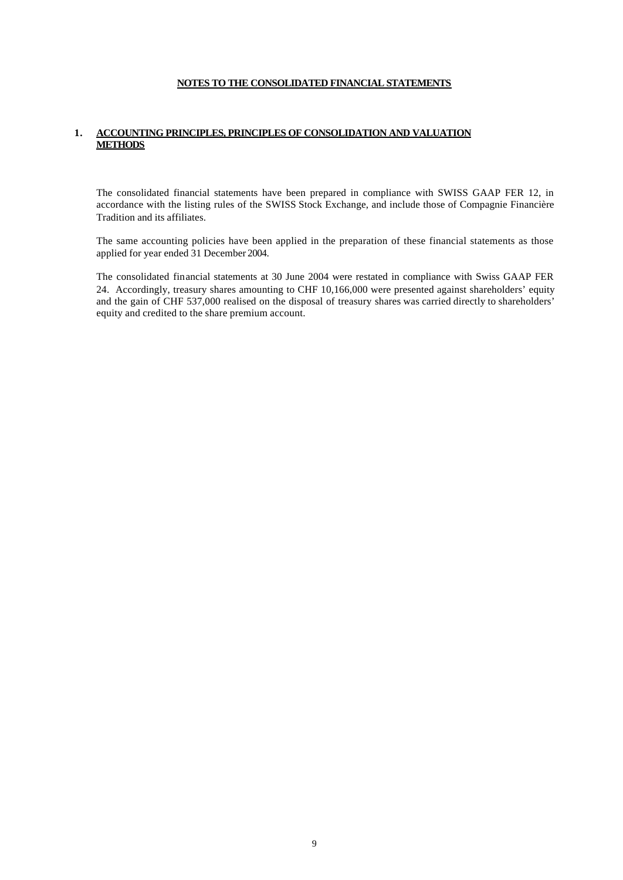#### **NOTES TO THE CONSOLIDATED FINANCIAL STATEMENTS**

#### **1. ACCOUNTING PRINCIPLES, PRINCIPLES OF CONSOLIDATION AND VALUATION METHODS**

The consolidated financial statements have been prepared in compliance with SWISS GAAP FER 12, in accordance with the listing rules of the SWISS Stock Exchange, and include those of Compagnie Financière Tradition and its affiliates.

The same accounting policies have been applied in the preparation of these financial statements as those applied for year ended 31 December 2004.

The consolidated financial statements at 30 June 2004 were restated in compliance with Swiss GAAP FER 24. Accordingly, treasury shares amounting to CHF 10,166,000 were presented against shareholders' equity and the gain of CHF 537,000 realised on the disposal of treasury shares was carried directly to shareholders' equity and credited to the share premium account.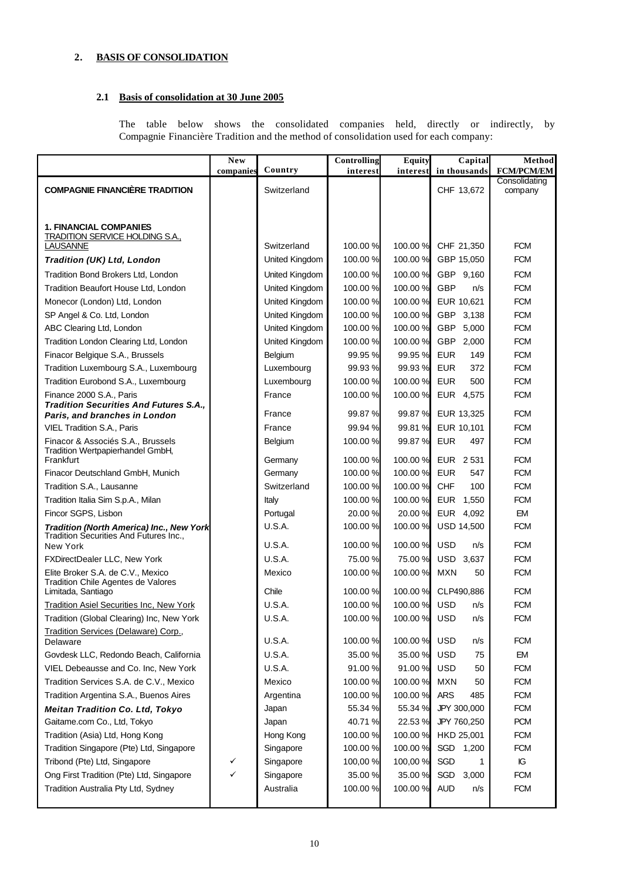### **2. BASIS OF CONSOLIDATION**

### **2.1 Basis of consolidation at 30 June 2005**

The table below shows the consolidated companies held, directly or indirectly, by Compagnie Financière Tradition and the method of consolidation used for each company:

|                                                                                | <b>New</b> |                | <b>Controlling</b> | Equity   | Capital               | Method                   |
|--------------------------------------------------------------------------------|------------|----------------|--------------------|----------|-----------------------|--------------------------|
|                                                                                | companies  | Country        | interest           |          | interest in thousands | <b>FCM/PCM/EM</b>        |
| <b>COMPAGNIE FINANCIÈRE TRADITION</b>                                          |            | Switzerland    |                    |          | CHF 13,672            | Consolidating<br>company |
|                                                                                |            |                |                    |          |                       |                          |
|                                                                                |            |                |                    |          |                       |                          |
| 1. FINANCIAL COMPANIES                                                         |            |                |                    |          |                       |                          |
| <b>TRADITION SERVICE HOLDING S.A.,</b>                                         |            |                |                    |          |                       |                          |
| <b>LAUSANNE</b>                                                                |            | Switzerland    | 100.00 %           | 100.00 % | CHF 21,350            | <b>FCM</b>               |
| Tradition (UK) Ltd, London                                                     |            | United Kingdom | 100.00%            | 100.00%  | GBP 15,050            | <b>FCM</b>               |
| Tradition Bond Brokers Ltd, London                                             |            | United Kingdom | 100.00%            | 100.00 % | GBP 9,160             | <b>FCM</b>               |
| Tradition Beaufort House Ltd, London                                           |            | United Kingdom | 100.00%            | 100.00 % | GBP<br>n/s            | <b>FCM</b>               |
| Monecor (London) Ltd, London                                                   |            | United Kingdom | 100.00%            | 100.00 % | EUR 10,621            | <b>FCM</b>               |
| SP Angel & Co. Ltd, London                                                     |            | United Kingdom | 100.00 %           | 100.00%  | GBP 3,138             | <b>FCM</b>               |
| ABC Clearing Ltd, London                                                       |            | United Kingdom | 100.00%            | 100.00 % | GBP<br>5,000          | <b>FCM</b>               |
| Tradition London Clearing Ltd, London                                          |            | United Kingdom | 100.00%            | 100.00%  | GBP 2,000             | <b>FCM</b>               |
| Finacor Belgique S.A., Brussels                                                |            | Belgium        | 99.95 %            | 99.95 %  | <b>EUR</b><br>149     | <b>FCM</b>               |
| Tradition Luxembourg S.A., Luxembourg                                          |            | Luxembourg     | 99.93 %            | 99.93 %  | <b>EUR</b><br>372     | <b>FCM</b>               |
| Tradition Eurobond S.A., Luxembourg                                            |            | Luxembourg     | 100.00%            | 100.00 % | <b>EUR</b><br>500     | <b>FCM</b>               |
| Finance 2000 S.A., Paris                                                       |            | France         | 100.00%            | 100.00 % | EUR  4,575            | <b>FCM</b>               |
| <b>Tradition Securities And Futures S.A.,</b><br>Paris, and branches in London |            | France         | 99.87 %            | 99.87%   | EUR 13,325            | <b>FCM</b>               |
| <b>VIEL Tradition S.A., Paris</b>                                              |            | France         | 99.94 %            | 99.81 %  | EUR 10,101            | <b>FCM</b>               |
| Finacor & Associés S.A., Brussels                                              |            | Belgium        | 100.00%            | 99.87%   | <b>EUR</b><br>497     | <b>FCM</b>               |
| Tradition Wertpapierhandel GmbH,                                               |            |                |                    |          |                       |                          |
| Frankfurt                                                                      |            | Germany        | 100.00%            | 100.00 % | EUR 2531              | <b>FCM</b>               |
| Finacor Deutschland GmbH, Munich                                               |            | Germany        | 100.00%            | 100.00 % | <b>EUR</b><br>547     | <b>FCM</b>               |
| Tradition S.A., Lausanne                                                       |            | Switzerland    | 100.00%            | 100.00 % | <b>CHF</b><br>100     | <b>FCM</b>               |
| Tradition Italia Sim S.p.A., Milan                                             |            | Italy          | 100.00%            | 100.00%  | EUR 1,550             | <b>FCM</b>               |
| Fincor SGPS, Lisbon                                                            |            | Portugal       | 20.00 %            | 20.00 %  | EUR 4,092             | <b>EM</b>                |
| Tradition (North America) Inc., New York                                       |            | U.S.A.         | 100.00%            | 100.00 % | <b>USD 14,500</b>     | <b>FCM</b>               |
| Tradition Securities And Futures Inc.,<br><b>New York</b>                      |            | U.S.A.         | 100.00%            | 100.00 % | <b>USD</b><br>n/s     | <b>FCM</b>               |
| FXDirectDealer LLC, New York                                                   |            | U.S.A.         | 75.00 %            | 75.00 %  | USD 3,637             | <b>FCM</b>               |
| Elite Broker S.A. de C.V., Mexico                                              |            | Mexico         | 100.00%            | 100.00%  | <b>MXN</b><br>50      | <b>FCM</b>               |
| Tradition Chile Agentes de Valores                                             |            |                |                    |          |                       |                          |
| Limitada, Santiago                                                             |            | Chile          | 100.00%            | 100.00 % | CLP490,886            | <b>FCM</b>               |
| <b>Tradition Asiel Securities Inc, New York</b>                                |            | <b>U.S.A.</b>  | 100.00%            | 100.00 % | <b>USD</b><br>n/s     | <b>FCM</b>               |
| Tradition (Global Clearing) Inc, New York                                      |            | <b>U.S.A.</b>  | 100.00%            | 100.00 % | <b>USD</b><br>n/s     | <b>FCM</b>               |
| Tradition Services (Delaware) Corp.,                                           |            |                |                    |          |                       |                          |
| Delaware                                                                       |            | <b>U.S.A.</b>  | 100.00%            | 100.00 % | USD<br>n/s            | <b>FCM</b>               |
| Govdesk LLC, Redondo Beach, California                                         |            | <b>U.S.A.</b>  | 35.00 %            | 35.00 %  | <b>USD</b><br>75      | EM                       |
| VIEL Debeausse and Co. Inc, New York                                           |            | <b>U.S.A.</b>  | 91.00 %            | 91.00%   | USD<br>50             | <b>FCM</b>               |
| Tradition Services S.A. de C.V., Mexico                                        |            | Mexico         | 100.00%            | 100.00 % | <b>MXN</b><br>50      | <b>FCM</b>               |
| Tradition Argentina S.A., Buenos Aires                                         |            | Argentina      | 100.00%            | 100.00%  | <b>ARS</b><br>485     | <b>FCM</b>               |
| <b>Meitan Tradition Co. Ltd, Tokyo</b>                                         |            | Japan          | 55.34 %            | 55.34 %  | JPY 300,000           | <b>FCM</b>               |
| Gaitame.com Co., Ltd, Tokyo                                                    |            | Japan          | 40.71%             | 22.53 %  | JPY 760,250           | <b>PCM</b>               |
| Tradition (Asia) Ltd, Hong Kong                                                |            | Hong Kong      | 100.00%            | 100.00 % | HKD 25,001            | <b>FCM</b>               |
| Tradition Singapore (Pte) Ltd, Singapore                                       |            | Singapore      | 100.00%            | 100.00%  | SGD 1,200             | <b>FCM</b>               |
| Tribond (Pte) Ltd, Singapore                                                   | ✓          | Singapore      | 100,00%            | 100,00 % | SGD<br>1              | Ю                        |
| Ong First Tradition (Pte) Ltd, Singapore                                       | ✓          | Singapore      | 35.00 %            | 35.00 %  | SGD<br>3,000          | <b>FCM</b>               |
| Tradition Australia Pty Ltd, Sydney                                            |            | Australia      | 100.00%            | 100.00 % | <b>AUD</b><br>n/s     | <b>FCM</b>               |
|                                                                                |            |                |                    |          |                       |                          |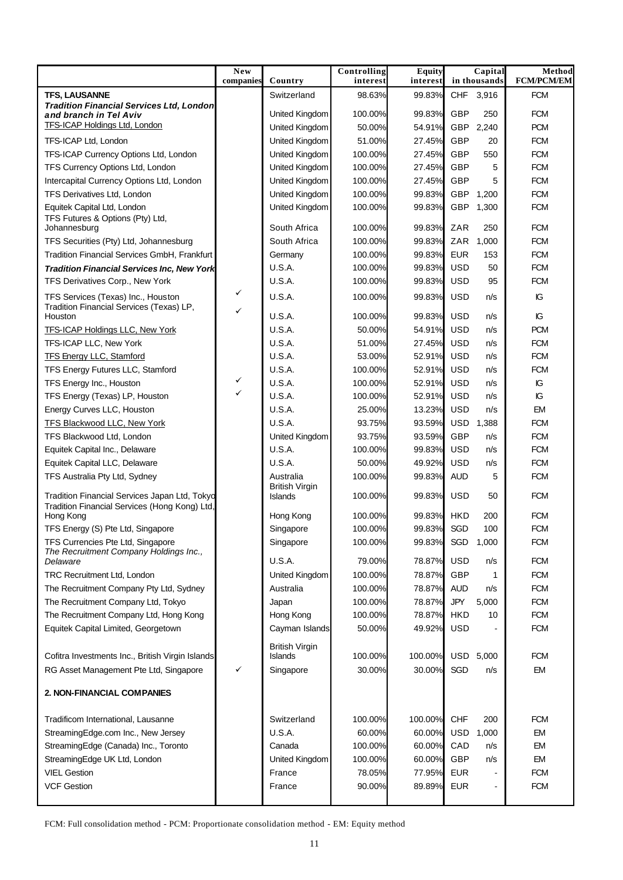|                                                                             | New<br>companies | Country                          | Controlling<br>interest | <b>Equity</b><br>interest | Capital<br>in thousands | <b>Method</b><br><b>FCM/PCM/EM</b> |
|-----------------------------------------------------------------------------|------------------|----------------------------------|-------------------------|---------------------------|-------------------------|------------------------------------|
| <b>TFS, LAUSANNE</b>                                                        |                  | Switzerland                      | 98.63%                  | 99.83%                    | CHF 3,916               | <b>FCM</b>                         |
| <b>Tradition Financial Services Ltd, London</b>                             |                  |                                  |                         | 99.83%                    | GBP<br>250              | <b>FCM</b>                         |
| and branch in Tel Aviv<br><b>TFS-ICAP Holdings Ltd, London</b>              |                  | United Kingdom<br>United Kingdom | 100.00%<br>50.00%       | 54.91%                    | GBP<br>2,240            | <b>PCM</b>                         |
| TFS-ICAP Ltd, London                                                        |                  | United Kingdom                   | 51.00%                  | 27.45%                    | GBP<br>20               | <b>FCM</b>                         |
| TFS-ICAP Currency Options Ltd, London                                       |                  | United Kingdom                   | 100.00%                 | 27.45%                    | GBP<br>550              | <b>FCM</b>                         |
| TFS Currency Options Ltd, London                                            |                  | United Kingdom                   | 100.00%                 | 27.45%                    | GBP<br>5                | <b>FCM</b>                         |
| Intercapital Currency Options Ltd, London                                   |                  | United Kingdom                   | 100.00%                 | 27.45%                    | GBP<br>5                | <b>FCM</b>                         |
| TFS Derivatives Ltd, London                                                 |                  | United Kingdom                   | 100.00%                 | 99.83%                    | GBP<br>1,200            | <b>FCM</b>                         |
| Equitek Capital Ltd, London                                                 |                  | United Kingdom                   | 100.00%                 | 99.83%                    | GBP<br>1,300            | <b>FCM</b>                         |
| TFS Futures & Options (Pty) Ltd,<br>Johannesburg                            |                  | South Africa                     | 100.00%                 | 99.83%                    | ZAR<br>250              | <b>FCM</b>                         |
| TFS Securities (Pty) Ltd, Johannesburg                                      |                  | South Africa                     | 100.00%                 | 99.83%                    | ZAR<br>1,000            | <b>FCM</b>                         |
| Tradition Financial Services GmbH, Frankfurt                                |                  | Germany                          | 100.00%                 | 99.83%                    | <b>EUR</b><br>153       | <b>FCM</b>                         |
| <b>Tradition Financial Services Inc, New York</b>                           |                  | <b>U.S.A.</b>                    | 100.00%                 | 99.83%                    | <b>USD</b><br>50        | <b>FCM</b>                         |
| TFS Derivatives Corp., New York                                             |                  | <b>U.S.A.</b>                    | 100.00%                 | 99.83%                    | <b>USD</b><br>95        | <b>FCM</b>                         |
| TFS Services (Texas) Inc., Houston                                          | ✓                | U.S.A.                           | 100.00%                 | 99.83%                    | <b>USD</b><br>n/s       | IG                                 |
| Tradition Financial Services (Texas) LP,<br>Houston                         | ✓                | U.S.A.                           | 100.00%                 | 99.83%                    | <b>USD</b><br>n/s       | IС                                 |
| <b>TFS-ICAP Holdings LLC, New York</b>                                      |                  | <b>U.S.A.</b>                    | 50.00%                  | 54.91%                    | <b>USD</b><br>n/s       | <b>PCM</b>                         |
| TFS-ICAP LLC, New York                                                      |                  | <b>U.S.A.</b>                    | 51.00%                  | 27.45%                    | <b>USD</b><br>n/s       | <b>FCM</b>                         |
| <b>TFS Energy LLC, Stamford</b>                                             |                  | <b>U.S.A.</b>                    | 53.00%                  | 52.91%                    | <b>USD</b><br>n/s       | <b>FCM</b>                         |
| TFS Energy Futures LLC, Stamford                                            |                  | <b>U.S.A.</b>                    | 100.00%                 | 52.91%                    | <b>USD</b><br>n/s       | <b>FCM</b>                         |
| TFS Energy Inc., Houston                                                    | ✓                | U.S.A.                           | 100.00%                 | 52.91%                    | <b>USD</b><br>n/s       | IG                                 |
| TFS Energy (Texas) LP, Houston                                              | $\checkmark$     | <b>U.S.A.</b>                    | 100.00%                 | 52.91%                    | <b>USD</b><br>n/s       | IG                                 |
| Energy Curves LLC, Houston                                                  |                  | <b>U.S.A.</b>                    | 25.00%                  | 13.23%                    | <b>USD</b><br>n/s       | EM                                 |
| <b>TFS Blackwood LLC, New York</b>                                          |                  | <b>U.S.A.</b>                    | 93.75%                  | 93.59%                    | <b>USD</b><br>1,388     | <b>FCM</b>                         |
| TFS Blackwood Ltd, London                                                   |                  | United Kingdom                   | 93.75%                  | 93.59%                    | GBP<br>n/s              | <b>FCM</b>                         |
| Equitek Capital Inc., Delaware                                              |                  | <b>U.S.A.</b>                    | 100.00%                 | 99.83%                    | <b>USD</b><br>n/s       | <b>FCM</b>                         |
| Equitek Capital LLC, Delaware                                               |                  | <b>U.S.A.</b>                    | 50.00%                  | 49.92%                    | <b>USD</b><br>n/s       | <b>FCM</b>                         |
| TFS Australia Pty Ltd, Sydney                                               |                  | Australia                        | 100.00%                 | 99.83%                    | <b>AUD</b><br>5         | <b>FCM</b>                         |
| Tradition Financial Services Japan Ltd, Tokyo                               |                  | <b>British Virgin</b>            | 100.00%                 | 99.83%                    | <b>USD</b><br>50        | <b>FCM</b>                         |
| Tradition Financial Services (Hong Kong) Ltd,                               |                  | Islands                          |                         |                           |                         |                                    |
| Hong Kong                                                                   |                  | Hong Kong                        | 100.00%                 | 99.83%                    | <b>HKD</b><br>200       | <b>FCM</b>                         |
| TFS Energy (S) Pte Ltd, Singapore                                           |                  | Singapore                        | 100.00%                 | 99.83%                    | SGD<br>100              | <b>FCM</b>                         |
| TFS Currencies Pte Ltd, Singapore<br>The Recruitment Company Holdings Inc., |                  | Singapore<br><b>U.S.A.</b>       | 100.00%                 | 99.83%                    | SGD 1,000<br><b>USD</b> | <b>FCM</b><br><b>FCM</b>           |
| Delaware                                                                    |                  |                                  | 79.00%                  | 78.87%                    | n/s                     |                                    |
| TRC Recruitment Ltd, London                                                 |                  | United Kingdom                   | 100.00%                 | 78.87%                    | GBP<br>1                | <b>FCM</b>                         |
| The Recruitment Company Pty Ltd, Sydney                                     |                  | Australia                        | 100.00%                 | 78.87%                    | <b>AUD</b><br>n/s       | <b>FCM</b>                         |
| The Recruitment Company Ltd, Tokyo                                          |                  | Japan                            | 100.00%                 | 78.87%                    | JPY<br>5,000            | <b>FCM</b>                         |
| The Recruitment Company Ltd, Hong Kong                                      |                  | Hong Kong                        | 100.00%                 | 78.87%                    | <b>HKD</b><br>10        | <b>FCM</b>                         |
| Equitek Capital Limited, Georgetown                                         |                  | Cayman Islands                   | 50.00%                  | 49.92%                    | <b>USD</b>              | <b>FCM</b>                         |
| Cofitra Investments Inc., British Virgin Islands                            |                  | <b>British Virgin</b><br>Islands | 100.00%                 | 100.00%                   | USD 5,000               | <b>FCM</b>                         |
| RG Asset Management Pte Ltd, Singapore                                      | ✓                | Singapore                        | 30.00%                  | 30.00%                    | SGD<br>n/s              | <b>EM</b>                          |
| 2. NON-FINANCIAL COMPANIES                                                  |                  |                                  |                         |                           |                         |                                    |
| Tradificom International, Lausanne                                          |                  | Switzerland                      | 100.00%                 | 100.00%                   | <b>CHF</b><br>200       | <b>FCM</b>                         |
| StreamingEdge.com Inc., New Jersey                                          |                  | <b>U.S.A.</b>                    | 60.00%                  | 60.00%                    | <b>USD</b><br>1,000     | EM                                 |
| StreamingEdge (Canada) Inc., Toronto                                        |                  | Canada                           | 100.00%                 | 60.00%                    | CAD<br>n/s              | EM                                 |
| StreamingEdge UK Ltd, London                                                |                  | United Kingdom                   | 100.00%                 | 60.00%                    | GBP<br>n/s              | <b>EM</b>                          |
| <b>VIEL Gestion</b>                                                         |                  | France                           | 78.05%                  | 77.95%                    | <b>EUR</b>              | <b>FCM</b>                         |
| <b>VCF Gestion</b>                                                          |                  | France                           | 90.00%                  | 89.89%                    | <b>EUR</b>              | <b>FCM</b>                         |
|                                                                             |                  |                                  |                         |                           |                         |                                    |

FCM: Full consolidation method - PCM: Proportionate consolidation method - EM: Equity method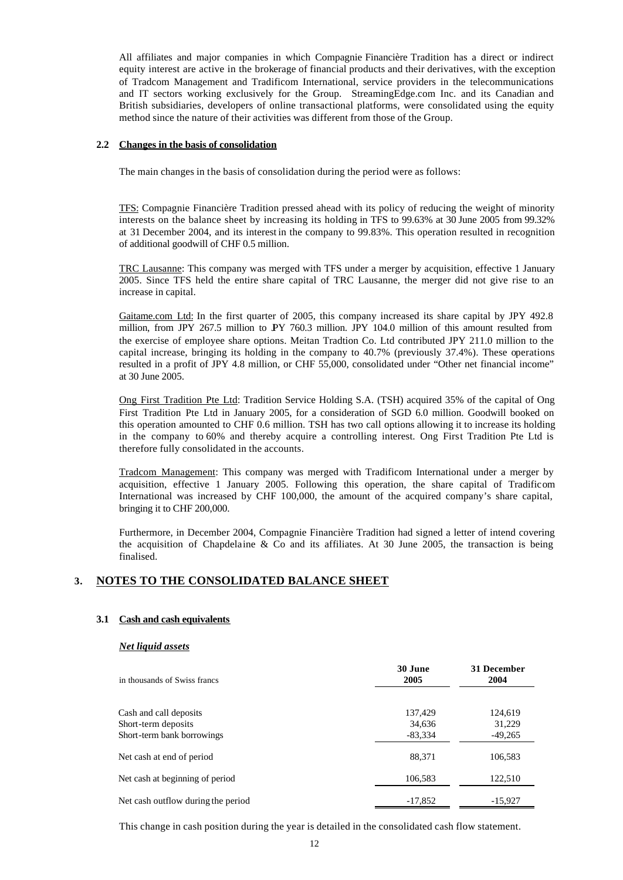All affiliates and major companies in which Compagnie Financière Tradition has a direct or indirect equity interest are active in the brokerage of financial products and their derivatives, with the exception of Tradcom Management and Tradificom International, service providers in the telecommunications and IT sectors working exclusively for the Group. StreamingEdge.com Inc. and its Canadian and British subsidiaries, developers of online transactional platforms, were consolidated using the equity method since the nature of their activities was different from those of the Group.

#### **2.2 Changes in the basis of consolidation**

The main changes in the basis of consolidation during the period were as follows:

TFS: Compagnie Financière Tradition pressed ahead with its policy of reducing the weight of minority interests on the balance sheet by increasing its holding in TFS to 99.63% at 30 June 2005 from 99.32% at 31 December 2004, and its interest in the company to 99.83%. This operation resulted in recognition of additional goodwill of CHF 0.5 million.

TRC Lausanne: This company was merged with TFS under a merger by acquisition, effective 1 January 2005. Since TFS held the entire share capital of TRC Lausanne, the merger did not give rise to an increase in capital.

Gaitame.com Ltd: In the first quarter of 2005, this company increased its share capital by JPY 492.8 million, from JPY 267.5 million to JPY 760.3 million. JPY 104.0 million of this amount resulted from the exercise of employee share options. Meitan Tradtion Co. Ltd contributed JPY 211.0 million to the capital increase, bringing its holding in the company to 40.7% (previously 37.4%). These operations resulted in a profit of JPY 4.8 million, or CHF 55,000, consolidated under "Other net financial income" at 30 June 2005.

Ong First Tradition Pte Ltd: Tradition Service Holding S.A. (TSH) acquired 35% of the capital of Ong First Tradition Pte Ltd in January 2005, for a consideration of SGD 6.0 million. Goodwill booked on this operation amounted to CHF 0.6 million. TSH has two call options allowing it to increase its holding in the company to 60% and thereby acquire a controlling interest. Ong First Tradition Pte Ltd is therefore fully consolidated in the accounts.

Tradcom Management: This company was merged with Tradificom International under a merger by acquisition, effective 1 January 2005. Following this operation, the share capital of Tradificom International was increased by CHF 100,000, the amount of the acquired company's share capital, bringing it to CHF 200,000.

Furthermore, in December 2004, Compagnie Financière Tradition had signed a letter of intend covering the acquisition of Chapdelaine  $\&$  Co and its affiliates. At 30 June 2005, the transaction is being finalised.

### **3. NOTES TO THE CONSOLIDATED BALANCE SHEET**

#### **3.1 Cash and cash equivalents**

#### *Net liquid assets*

| in thousands of Swiss francs       | 30 June<br>2005 | 31 December<br>2004 |
|------------------------------------|-----------------|---------------------|
| Cash and call deposits             | 137,429         | 124,619             |
| Short-term deposits                | 34,636          | 31,229              |
| Short-term bank borrowings         | $-83,334$       | $-49,265$           |
| Net cash at end of period          | 88,371          | 106,583             |
| Net cash at beginning of period    | 106,583         | 122,510             |
| Net cash outflow during the period | $-17,852$       | $-15,927$           |

This change in cash position during the year is detailed in the consolidated cash flow statement.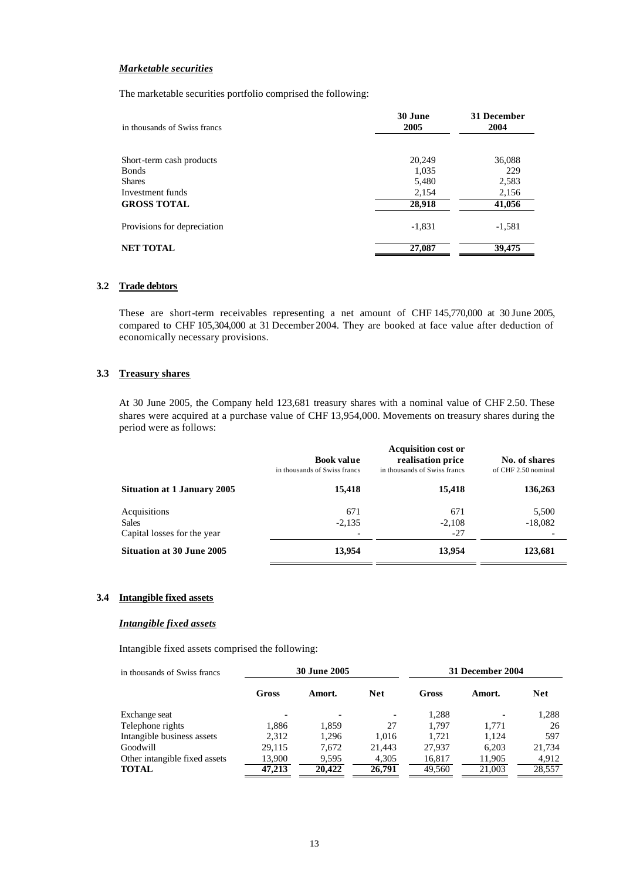#### *Marketable securities*

The marketable securities portfolio comprised the following:

| in thousands of Swiss francs | 30 June<br>2005 | 31 December<br>2004 |
|------------------------------|-----------------|---------------------|
|                              |                 |                     |
| Short-term cash products     | 20,249          | 36,088              |
| <b>Bonds</b>                 | 1,035           | 229                 |
| <b>Shares</b>                | 5,480           | 2,583               |
| Investment funds             | 2,154           | 2,156               |
| <b>GROSS TOTAL</b>           | 28,918          | 41,056              |
| Provisions for depreciation  | $-1,831$        | $-1,581$            |
| <b>NET TOTAL</b>             | 27,087          | 39,475              |

## **3.2 Trade debtors**

These are short-term receivables representing a net amount of CHF 145,770,000 at 30 June 2005, compared to CHF 105,304,000 at 31 December 2004. They are booked at face value after deduction of economically necessary provisions.

#### **3.3 Treasury shares**

At 30 June 2005, the Company held 123,681 treasury shares with a nominal value of CHF 2.50. These shares were acquired at a purchase value of CHF 13,954,000. Movements on treasury shares during the period were as follows:

|                                                             | <b>Book value</b><br>in thousands of Swiss francs | <b>Acquisition cost or</b><br>realisation price<br>in thousands of Swiss francs | No. of shares<br>of CHF 2.50 nominal |
|-------------------------------------------------------------|---------------------------------------------------|---------------------------------------------------------------------------------|--------------------------------------|
| <b>Situation at 1 January 2005</b>                          | 15,418                                            | 15,418                                                                          | 136,263                              |
| Acquisitions<br><b>Sales</b><br>Capital losses for the year | 671<br>$-2,135$                                   | 671<br>$-2,108$<br>-27                                                          | 5,500<br>$-18,082$                   |
| <b>Situation at 30 June 2005</b>                            | 13,954                                            | 13,954                                                                          | 123,681                              |

#### **3.4 Intangible fixed assets**

#### *Intangible fixed assets*

Intangible fixed assets comprised the following:

| in thousands of Swiss francs  |        | <b>30 June 2005</b> |                          | 31 December 2004 |        |            |
|-------------------------------|--------|---------------------|--------------------------|------------------|--------|------------|
|                               | Gross  | Amort.              | <b>Net</b>               | Gross            | Amort. | <b>Net</b> |
| Exchange seat                 |        |                     | $\overline{\phantom{a}}$ | 1.288            |        | 1,288      |
| Telephone rights              | 1,886  | 1,859               | 27                       | 1.797            | 1.771  | 26         |
| Intangible business assets    | 2.312  | 1.296               | 1.016                    | 1.721            | 1.124  | 597        |
| Goodwill                      | 29.115 | 7.672               | 21.443                   | 27.937           | 6.203  | 21,734     |
| Other intangible fixed assets | 13,900 | 9,595               | 4,305                    | 16,817           | 11,905 | 4,912      |
| <b>TOTAL</b>                  | 47,213 | 20,422              | 26,791                   | 49,560           | 21,003 | 28,557     |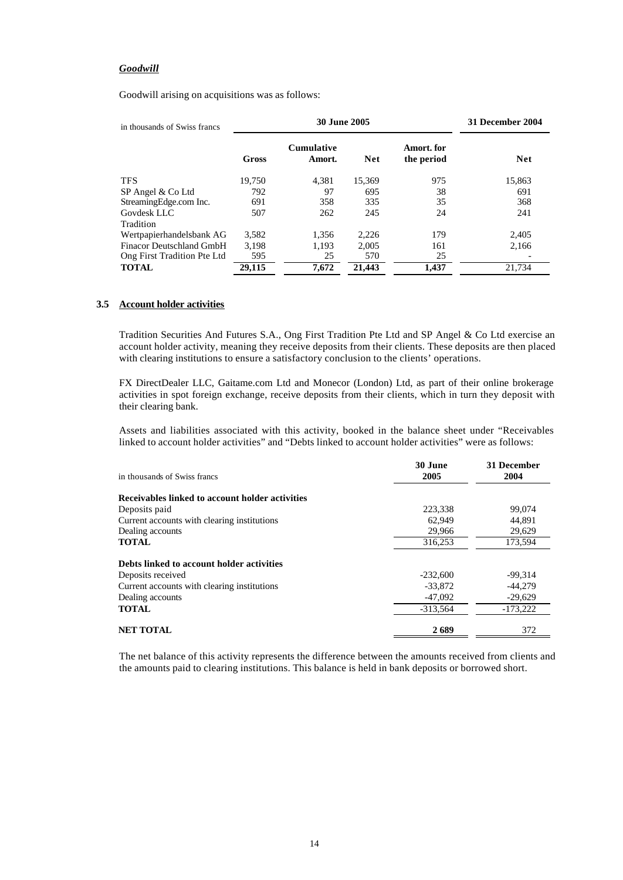#### *Goodwill*

Goodwill arising on acquisitions was as follows:

| in thousands of Swiss francs |        | <b>30 June 2005</b>         | 31 December 2004 |                          |            |
|------------------------------|--------|-----------------------------|------------------|--------------------------|------------|
|                              | Gross  | <b>Cumulative</b><br>Amort. | <b>Net</b>       | Amort. for<br>the period | <b>Net</b> |
| <b>TFS</b>                   | 19.750 | 4,381                       | 15,369           | 975                      | 15,863     |
| SP Angel & Co Ltd            | 792    | 97                          | 695              | 38                       | 691        |
| StreamingEdge.com Inc.       | 691    | 358                         | 335              | 35                       | 368        |
| Govdesk LLC                  | 507    | 262                         | 245              | 24                       | 241        |
| Tradition                    |        |                             |                  |                          |            |
| Wertpapierhandelsbank AG     | 3,582  | 1,356                       | 2,226            | 179                      | 2,405      |
| Finacor Deutschland GmbH     | 3,198  | 1,193                       | 2,005            | 161                      | 2,166      |
| Ong First Tradition Pte Ltd  | 595    | 25                          | 570              | 25                       |            |
| <b>TOTAL</b>                 | 29.115 | 7.672                       | 21,443           | 1.437                    | 21.734     |

#### **3.5 Account holder activities**

Tradition Securities And Futures S.A., Ong First Tradition Pte Ltd and SP Angel & Co Ltd exercise an account holder activity, meaning they receive deposits from their clients. These deposits are then placed with clearing institutions to ensure a satisfactory conclusion to the clients' operations.

FX DirectDealer LLC, Gaitame.com Ltd and Monecor (London) Ltd, as part of their online brokerage activities in spot foreign exchange, receive deposits from their clients, which in turn they deposit with their clearing bank.

Assets and liabilities associated with this activity, booked in the balance sheet under "Receivables linked to account holder activities" and "Debts linked to account holder activities" were as follows:

| in thousands of Swiss francs                    | 30 June<br>2005 | 31 December<br>2004 |
|-------------------------------------------------|-----------------|---------------------|
| Receivables linked to account holder activities |                 |                     |
| Deposits paid                                   | 223.338         | 99,074              |
| Current accounts with clearing institutions     | 62.949          | 44,891              |
| Dealing accounts                                | 29,966          | 29,629              |
| <b>TOTAL</b>                                    | 316,253         | 173,594             |
| Debts linked to account holder activities       |                 |                     |
| Deposits received                               | $-232,600$      | $-99,314$           |
| Current accounts with clearing institutions     | $-33.872$       | $-44.279$           |
| Dealing accounts                                | -47,092         | $-29,629$           |
| <b>TOTAL</b>                                    | $-313.564$      | $-173.222$          |
| <b>NET TOTAL</b>                                | 2689            | 372                 |

The net balance of this activity represents the difference between the amounts received from clients and the amounts paid to clearing institutions. This balance is held in bank deposits or borrowed short.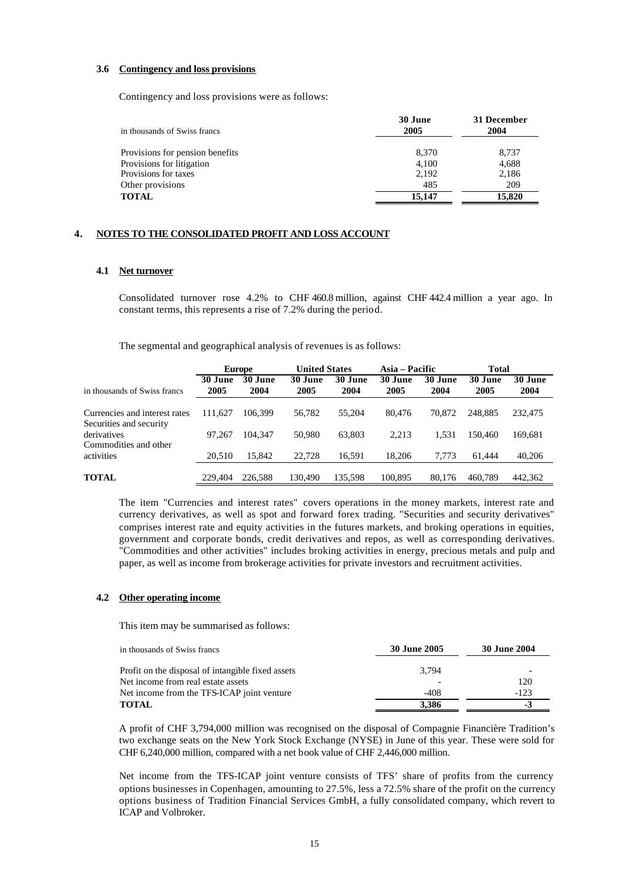#### **3.6 Contingency and loss provisions**

Contingency and loss provisions were as follows:

| in thousands of Swiss francs    | 30 June<br>2005 | 31 December<br>2004 |
|---------------------------------|-----------------|---------------------|
| Provisions for pension benefits | 8,370           | 8,737               |
| Provisions for litigation       | 4.100           | 4,688               |
| Provisions for taxes            | 2,192           | 2,186               |
| Other provisions                | 485             | 209                 |
| <b>TOTAL</b>                    | 15.147          | 15,820              |

#### **4. NOTES TO THE CONSOLIDATED PROFIT AND LOSS ACCOUNT**

#### **4.1 Net turnover**

Consolidated turnover rose 4.2% to CHF 460.8 million, against CHF 442.4 million a year ago. In constant terms, this represents a rise of 7.2% during the period.

The segmental and geographical analysis of revenues is as follows:

|                                                          |                 | <b>Europe</b>   | <b>United States</b> |                 | Asia – Pacific  |                 | <b>Total</b>    |                 |
|----------------------------------------------------------|-----------------|-----------------|----------------------|-----------------|-----------------|-----------------|-----------------|-----------------|
| in thousands of Swiss francs                             | 30 June<br>2005 | 30 June<br>2004 | 30 June<br>2005      | 30 June<br>2004 | 30 June<br>2005 | 30 June<br>2004 | 30 June<br>2005 | 30 June<br>2004 |
| Currencies and interest rates<br>Securities and security | 111.627         | 106.399         | 56,782               | 55,204          | 80.476          | 70,872          | 248.885         | 232,475         |
| derivatives<br>Commodities and other                     | 97.267          | 104.347         | 50.980               | 63.803          | 2.213           | 1.531           | 150,460         | 169.681         |
| activities                                               | 20.510          | 15.842          | 22,728               | 16.591          | 18.206          | 7.773           | 61.444          | 40,206          |
| <b>TOTAL</b>                                             | 229,404         | 226,588         | 130.490              | 135.598         | 100.895         | 80.176          | 460.789         | 442.362         |

The item "Currencies and interest rates" covers operations in the money markets, interest rate and currency derivatives, as well as spot and forward forex trading. "Securities and security derivatives" comprises interest rate and equity activities in the futures markets, and broking operations in equities, government and corporate bonds, credit derivatives and repos, as well as corresponding derivatives. "Commodities and other activities" includes broking activities in energy, precious metals and pulp and paper, as well as income from brokerage activities for private investors and recruitment activities.

#### **4.2 Other operating income**

This item may be summarised as follows:

| in thousands of Swiss francs                      | 30 June 2005 | 30 June 2004 |
|---------------------------------------------------|--------------|--------------|
| Profit on the disposal of intangible fixed assets | 3.794        |              |
| Net income from real estate assets                |              | 120          |
| Net income from the TFS-ICAP joint venture        | -408         | $-123$       |
| <b>TOTAL</b>                                      | 3.386        |              |

A profit of CHF 3,794,000 million was recognised on the disposal of Compagnie Financière Tradition's two exchange seats on the New York Stock Exchange (NYSE) in June of this year. These were sold for CHF 6,240,000 million, compared with a net book value of CHF 2,446,000 million.

Net income from the TFS-ICAP joint venture consists of TFS' share of profits from the currency options businesses in Copenhagen, amounting to 27.5%, less a 72.5% share of the profit on the currency options business of Tradition Financial Services GmbH, a fully consolidated company, which revert to ICAP and Volbroker.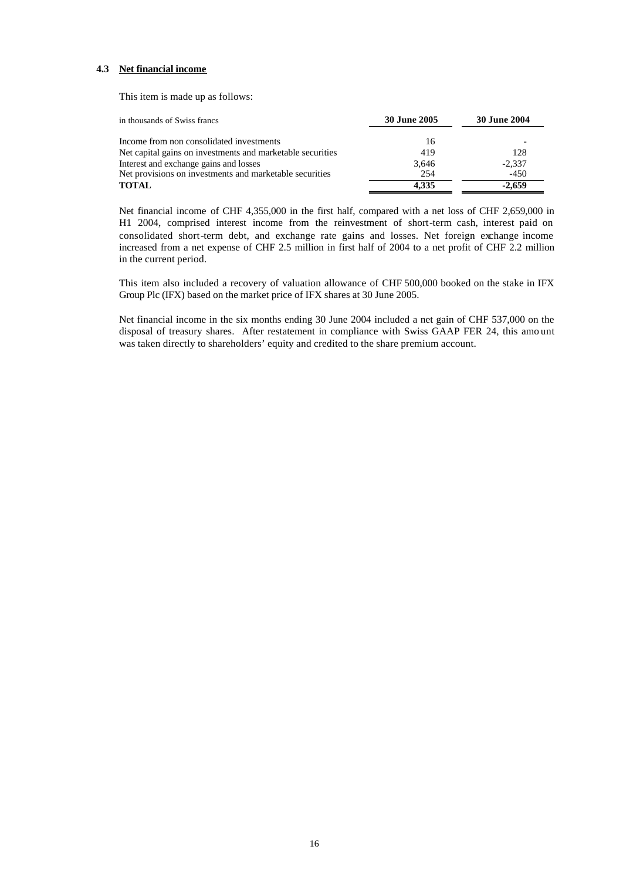#### **4.3 Net financial income**

This item is made up as follows:

| in thousands of Swiss francs                               | <b>30 June 2005</b> | 30 June 2004 |
|------------------------------------------------------------|---------------------|--------------|
| Income from non consolidated investments                   | 16                  |              |
| Net capital gains on investments and marketable securities | 419                 | 128          |
| Interest and exchange gains and losses                     | 3.646               | $-2.337$     |
| Net provisions on investments and marketable securities    | 254                 | $-450$       |
| <b>TOTAL</b>                                               | 4.335               | $-2.659$     |

Net financial income of CHF 4,355,000 in the first half, compared with a net loss of CHF 2,659,000 in H1 2004, comprised interest income from the reinvestment of short-term cash, interest paid on consolidated short-term debt, and exchange rate gains and losses. Net foreign exchange income increased from a net expense of CHF 2.5 million in first half of 2004 to a net profit of CHF 2.2 million in the current period.

This item also included a recovery of valuation allowance of CHF 500,000 booked on the stake in IFX Group Plc (IFX) based on the market price of IFX shares at 30 June 2005.

Net financial income in the six months ending 30 June 2004 included a net gain of CHF 537,000 on the disposal of treasury shares. After restatement in compliance with Swiss GAAP FER 24, this amo unt was taken directly to shareholders' equity and credited to the share premium account.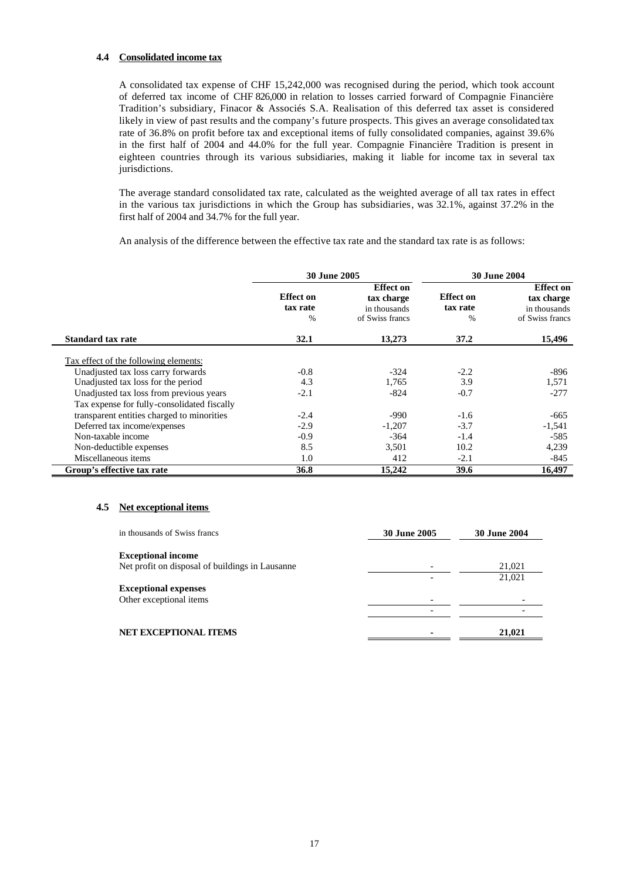#### **4.4 Consolidated income tax**

A consolidated tax expense of CHF 15,242,000 was recognised during the period, which took account of deferred tax income of CHF 826,000 in relation to losses carried forward of Compagnie Financière Tradition's subsidiary, Finacor & Associés S.A. Realisation of this deferred tax asset is considered likely in view of past results and the company's future prospects. This gives an average consolidated tax rate of 36.8% on profit before tax and exceptional items of fully consolidated companies, against 39.6% in the first half of 2004 and 44.0% for the full year. Compagnie Financière Tradition is present in eighteen countries through its various subsidiaries, making it liable for income tax in several tax jurisdictions.

The average standard consolidated tax rate, calculated as the weighted average of all tax rates in effect in the various tax jurisdictions in which the Group has subsidiaries, was 32.1%, against 37.2% in the first half of 2004 and 34.7% for the full year.

An analysis of the difference between the effective tax rate and the standard tax rate is as follows:

|                                             | <b>30 June 2005</b>                           |                                                                   | <b>30 June 2004</b>                           |                                                                   |  |
|---------------------------------------------|-----------------------------------------------|-------------------------------------------------------------------|-----------------------------------------------|-------------------------------------------------------------------|--|
|                                             | <b>Effect</b> on<br>tax rate<br>$\frac{0}{0}$ | <b>Effect on</b><br>tax charge<br>in thousands<br>of Swiss francs | <b>Effect</b> on<br>tax rate<br>$\frac{0}{0}$ | <b>Effect on</b><br>tax charge<br>in thousands<br>of Swiss francs |  |
| <b>Standard tax rate</b>                    | 32.1                                          | 13,273                                                            | 37.2                                          | 15,496                                                            |  |
| Tax effect of the following elements:       |                                               |                                                                   |                                               |                                                                   |  |
| Unadjusted tax loss carry forwards          | $-0.8$                                        | $-324$                                                            | $-2.2$                                        | -896                                                              |  |
| Unadjusted tax loss for the period          | 4.3                                           | 1,765                                                             | 3.9                                           | 1,571                                                             |  |
| Unadjusted tax loss from previous years     | $-2.1$                                        | $-824$                                                            | $-0.7$                                        | $-277$                                                            |  |
| Tax expense for fully-consolidated fiscally |                                               |                                                                   |                                               |                                                                   |  |
| transparent entities charged to minorities  | $-2.4$                                        | $-990$                                                            | $-1.6$                                        | $-665$                                                            |  |
| Deferred tax income/expenses                | $-2.9$                                        | $-1.207$                                                          | $-3.7$                                        | $-1,541$                                                          |  |
| Non-taxable income                          | $-0.9$                                        | $-364$                                                            | $-1.4$                                        | $-585$                                                            |  |
| Non-deductible expenses                     | 8.5                                           | 3,501                                                             | 10.2                                          | 4,239                                                             |  |
| Miscellaneous items                         | 1.0                                           | 412                                                               | $-2.1$                                        | $-845$                                                            |  |
| Group's effective tax rate                  | 36.8                                          | 15,242                                                            | 39.6                                          | 16,497                                                            |  |

#### **4.5 Net exceptional items**

| in thousands of Swiss francs                                                 | <b>30 June 2005</b> | <b>30 June 2004</b> |
|------------------------------------------------------------------------------|---------------------|---------------------|
| <b>Exceptional income</b><br>Net profit on disposal of buildings in Lausanne |                     | 21,021              |
|                                                                              |                     | 21,021              |
| <b>Exceptional expenses</b><br>Other exceptional items                       |                     |                     |
|                                                                              |                     |                     |
| <b>NET EXCEPTIONAL ITEMS</b>                                                 |                     | 21,021              |